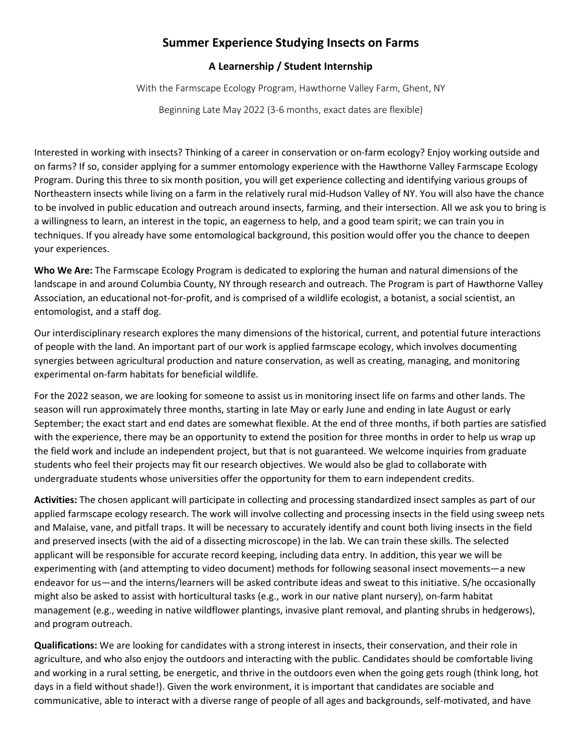## **Summer Experience Studying Insects on Farms**

## **A Learnership / Student Internship**

With the Farmscape Ecology Program, Hawthorne Valley Farm, Ghent, NY

Beginning Late May 2022 (3-6 months, exact dates are flexible)

Interested in working with insects? Thinking of a career in conservation or on-farm ecology? Enjoy working outside and on farms? If so, consider applying for a summer entomology experience with the Hawthorne Valley Farmscape Ecology Program. During this three to six month position, you will get experience collecting and identifying various groups of Northeastern insects while living on a farm in the relatively rural mid-Hudson Valley of NY. You will also have the chance to be involved in public education and outreach around insects, farming, and their intersection. All we ask you to bring is a willingness to learn, an interest in the topic, an eagerness to help, and a good team spirit; we can train you in techniques. If you already have some entomological background, this position would offer you the chance to deepen your experiences.

**Who We Are:** The Farmscape Ecology Program is dedicated to exploring the human and natural dimensions of the landscape in and around Columbia County, NY through research and outreach. The Program is part of Hawthorne Valley Association, an educational not-for-profit, and is comprised of a wildlife ecologist, a botanist, a social scientist, an entomologist, and a staff dog.

Our interdisciplinary research explores the many dimensions of the historical, current, and potential future interactions of people with the land. An important part of our work is applied farmscape ecology, which involves documenting synergies between agricultural production and nature conservation, as well as creating, managing, and monitoring experimental on-farm habitats for beneficial wildlife.

For the 2022 season, we are looking for someone to assist us in monitoring insect life on farms and other lands. The season will run approximately three months, starting in late May or early June and ending in late August or early September; the exact start and end dates are somewhat flexible. At the end of three months, if both parties are satisfied with the experience, there may be an opportunity to extend the position for three months in order to help us wrap up the field work and include an independent project, but that is not guaranteed. We welcome inquiries from graduate students who feel their projects may fit our research objectives. We would also be glad to collaborate with undergraduate students whose universities offer the opportunity for them to earn independent credits.

**Activities:** The chosen applicant will participate in collecting and processing standardized insect samples as part of our applied farmscape ecology research. The work will involve collecting and processing insects in the field using sweep nets and Malaise, vane, and pitfall traps. It will be necessary to accurately identify and count both living insects in the field and preserved insects (with the aid of a dissecting microscope) in the lab. We can train these skills. The selected applicant will be responsible for accurate record keeping, including data entry. In addition, this year we will be experimenting with (and attempting to video document) methods for following seasonal insect movements—a new endeavor for us—and the interns/learners will be asked contribute ideas and sweat to this initiative. S/he occasionally might also be asked to assist with horticultural tasks (e.g., work in our native plant nursery), on-farm habitat management (e.g., weeding in native wildflower plantings, invasive plant removal, and planting shrubs in hedgerows), and program outreach.

**Qualifications:** We are looking for candidates with a strong interest in insects, their conservation, and their role in agriculture, and who also enjoy the outdoors and interacting with the public. Candidates should be comfortable living and working in a rural setting, be energetic, and thrive in the outdoors even when the going gets rough (think long, hot days in a field without shade!). Given the work environment, it is important that candidates are sociable and communicative, able to interact with a diverse range of people of all ages and backgrounds, self-motivated, and have